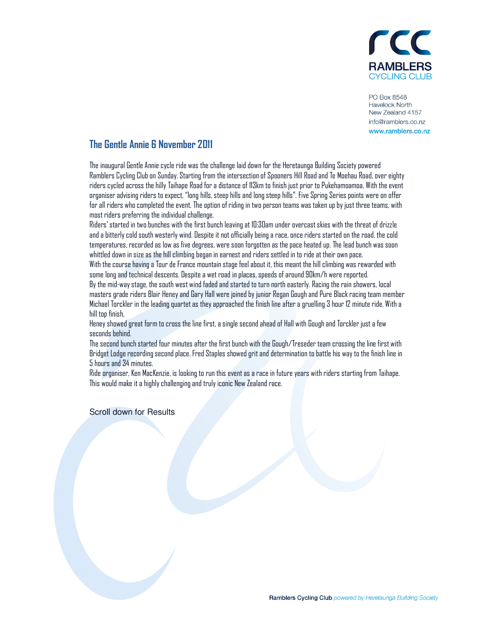

**PO Box 8548 Havelock North** New Zealand 4157 info@ramblers.co.nz www.ramblers.co.nz

## The Gentle Annie 6 November 2011

The inaugural Gentle Annie cycle ride was the challenge laid down for the Heretaunga Building Society powered Ramblers Cycling Club on Sunday. Starting from the intersection of Spooners Hill Road and Te Moehau Road, over eighty riders cycled across the hilly Taihape Road for a distance of 113km to finish just prior to Pukehamoamoa. With the event organiser advising riders to expect, "long hills, steep hills and long steep hills". Five Spring Series points were on offer for all riders who completed the event. The option of riding in two person teams was taken up by just three teams, with most riders preferring the individual challenge.

Riders' started in two bunches with the first bunch leaving at 10:30am under overcast skies with the threat of drizzle and a bitterly cold south westerly wind. Despite it not officially being a race, once riders started on the road, the cold temperatures, recorded as low as five degrees, were soon forgotten as the pace heated up. The lead bunch was soon whittled down in size as the hill climbing began in earnest and riders settled in to ride at their own pace.

With the course having a Tour de France mountain stage feel about it, this meant the hill climbing was rewarded with some long and technical descents. Despite a wet road in places, speeds of around 90km/h were reported.

By the mid-way stage, the south west wind faded and started to turn north easterly. Racing the rain showers, local masters grade riders Blair Heney and Gary Hall were joined by junior Regan Gough and Pure Black racing team member Michael Torckler in the leading quartet as they approached the finish line after a gruelling 3 hour 12 minute ride. With a hill top finish,

Heney showed great form to cross the line first, a single second ahead of Hall with Gough and Torckler just a few seconds behind.

The second bunch started four minutes after the first bunch with the Gough/Treseder team crossing the line first with Bridget Lodge recording second place. Fred Staples showed grit and determination to battle his way to the finish line in 5 hours and 34 minutes.

Ride organiser, Ken MacKenzie, is looking to run this event as a race in future years with riders starting from Taihape. This would make it a highly challenging and truly iconic New Zealand race.

Scroll down for Results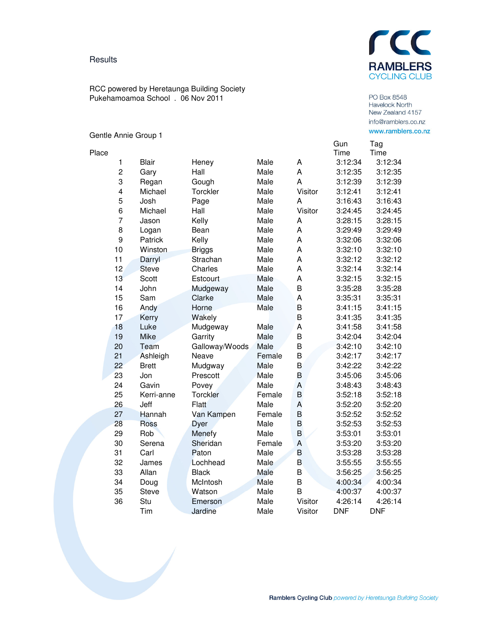## **Results**

rcc **RAMBLERS CYCLING CLUB** 

RCC powered by Heretaunga Building Society Pukehamoamoa School . 06 Nov 2011

## Gentle Annie Group 1

Place

|    |              |                |        |         | Gun        | Tag        |
|----|--------------|----------------|--------|---------|------------|------------|
|    |              |                |        |         | Time       | Time       |
| 1  | <b>Blair</b> | Heney          | Male   | A       | 3:12:34    | 3:12:34    |
| 2  | Gary         | Hall           | Male   | A       | 3:12:35    | 3:12:35    |
| 3  | Regan        | Gough          | Male   | A       | 3:12:39    | 3:12:39    |
| 4  | Michael      | Torckler       | Male   | Visitor | 3:12:41    | 3:12:41    |
| 5  | Josh         | Page           | Male   | A       | 3:16:43    | 3:16:43    |
| 6  | Michael      | Hall           | Male   | Visitor | 3:24:45    | 3:24:45    |
| 7  | Jason        | Kelly          | Male   | A       | 3:28:15    | 3:28:15    |
| 8  | Logan        | Bean           | Male   | A       | 3:29:49    | 3:29:49    |
| 9  | Patrick      | Kelly          | Male   | A       | 3:32:06    | 3:32:06    |
| 10 | Winston      | <b>Briggs</b>  | Male   | A       | 3:32:10    | 3:32:10    |
| 11 | Darryl       | Strachan       | Male   | A       | 3:32:12    | 3:32:12    |
| 12 | <b>Steve</b> | Charles        | Male   | A       | 3:32:14    | 3:32:14    |
| 13 | Scott        | Estcourt       | Male   | A       | 3:32:15    | 3:32:15    |
| 14 | John         | Mudgeway       | Male   | B       | 3:35:28    | 3:35:28    |
| 15 | Sam          | Clarke         | Male   | A       | 3:35:31    | 3:35:31    |
| 16 | Andy         | Horne          | Male   | B       | 3:41:15    | 3:41:15    |
| 17 | Kerry        | Wakely         |        | B       | 3:41:35    | 3:41:35    |
| 18 | Luke         | Mudgeway       | Male   | A       | 3:41:58    | 3:41:58    |
| 19 | Mike         | Garrity        | Male   | B       | 3:42:04    | 3:42:04    |
| 20 | Team         | Galloway/Woods | Male   | B       | 3:42:10    | 3:42:10    |
| 21 | Ashleigh     | Neave          | Female | B       | 3:42:17    | 3:42:17    |
| 22 | <b>Brett</b> | Mudgway        | Male   | B       | 3:42:22    | 3:42:22    |
| 23 | Jon          | Prescott       | Male   | B       | 3:45:06    | 3:45:06    |
| 24 | Gavin        | Povey          | Male   | A       | 3:48:43    | 3:48:43    |
| 25 | Kerri-anne   | Torckler       | Female | B       | 3:52:18    | 3:52:18    |
| 26 | Jeff         | <b>Flatt</b>   | Male   | A       | 3:52:20    | 3:52:20    |
| 27 | Hannah       | Van Kampen     | Female | B       | 3:52:52    | 3:52:52    |
| 28 | Ross         | Dyer           | Male   | B       | 3:52:53    | 3:52:53    |
| 29 | Rob          | Menefy         | Male   | B       | 3:53:01    | 3:53:01    |
| 30 | Serena       | Sheridan       | Female | A       | 3:53:20    | 3:53:20    |
| 31 | Carl         | Paton          | Male   | B       | 3:53:28    | 3:53:28    |
| 32 | James        | Lochhead       | Male   | B       | 3:55:55    | 3:55:55    |
| 33 | Allan        | <b>Black</b>   | Male   | B       | 3:56:25    | 3:56:25    |
| 34 | Doug         | McIntosh       | Male   | B       | 4:00:34    | 4:00:34    |
| 35 | <b>Steve</b> | Watson         | Male   | B       | 4:00:37    | 4:00:37    |
| 36 | Stu          | Emerson        | Male   | Visitor | 4:26:14    | 4:26:14    |
|    | Tim          | Jardine        | Male   | Visitor | <b>DNF</b> | <b>DNF</b> |

Havelock North<br>New Zealand 4157 info@ramblers.co.nz www.ramblers.co.nz Tag

PO Box 8548